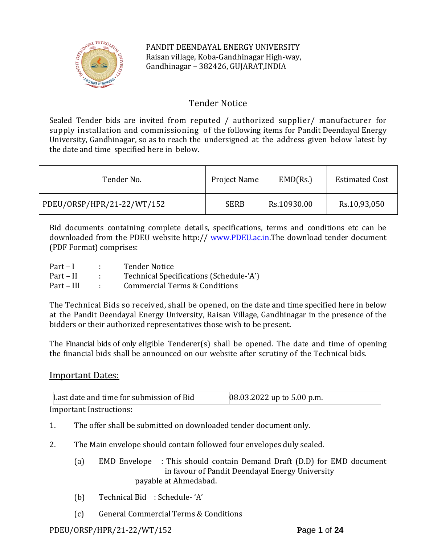

PANDIT DEENDAYAL ENERGY UNIVERSITY Raisan village, Koba-Gandhinagar High-way, Gandhinagar – 382426, GUJARAT,INDIA

# Tender Notice

Sealed Tender bids are invited from reputed / authorized supplier/ manufacturer for supply installation and commissioning of the following items for Pandit Deendayal Energy University, Gandhinagar, so as to reach the undersigned at the address given below latest by the date and time specified here in below.

| Tender No.                 | Project Name | EMD(Rs.)    | <b>Estimated Cost</b> |
|----------------------------|--------------|-------------|-----------------------|
| PDEU/ORSP/HPR/21-22/WT/152 | <b>SERB</b>  | Rs.10930.00 | Rs.10,93,050          |

Bid documents containing complete details, specifications, terms and conditions etc can be downloaded from the PDEU website http:// [www.PDEU.ac.in.](http://www.pdpu.ac.in/)The download tender document (PDF Format) comprises:

| $Part-I$   | Tender Notice                           |
|------------|-----------------------------------------|
| Part – II  | Technical Specifications (Schedule-'A') |
| Part – III | Commercial Terms & Conditions           |

The Technical Bids so received, shall be opened, on the date and time specified here in below at the Pandit Deendayal Energy University, Raisan Village, Gandhinagar in the presence of the bidders or their authorized representatives those wish to be present.

The Financial bids of only eligible Tenderer(s) shall be opened. The date and time of opening the financial bids shall be announced on our website after scrutiny of the Technical bids.

# Important Dates:

| Last date and time for submission of Bid | $[08.03.2022$ up to 5.00 p.m. |
|------------------------------------------|-------------------------------|
| Important Instructions:                  |                               |

Important Instructions:

- 1. The offer shall be submitted on downloaded tender document only.
- 2. The Main envelope should contain followed four envelopes duly sealed.
	- (a) EMD Envelope : This should contain Demand Draft (D.D) for EMD document in favour of Pandit Deendayal Energy University payable at Ahmedabad.
	- (b) Technical Bid : Schedule- 'A'
	- (c) General Commercial Terms & Conditions

# PDEU/ORSP/HPR/21-22/WT/152 **P**age **1** of **24**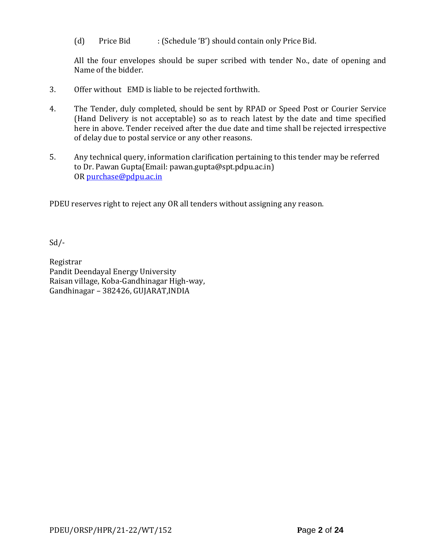(d) Price Bid : (Schedule 'B') should contain only Price Bid.

All the four envelopes should be super scribed with tender No., date of opening and Name of the bidder.

- 3. Offer without EMD is liable to be rejected forthwith.
- 4. The Tender, duly completed, should be sent by RPAD or Speed Post or Courier Service (Hand Delivery is not acceptable) so as to reach latest by the date and time specified here in above. Tender received after the due date and time shall be rejected irrespective of delay due to postal service or any other reasons.
- 5. Any technical query, information clarification pertaining to this tender may be referred to Dr. Pawan Gupta(Email: pawan.gupta@spt.pdpu.ac.in) OR [purchase@pdpu.ac.in](mailto:purchase@pdpu.ac.in)

PDEU reserves right to reject any OR all tenders without assigning any reason.

Sd/-

Registrar Pandit Deendayal Energy University Raisan village, Koba-Gandhinagar High-way, Gandhinagar – 382426, GUJARAT,INDIA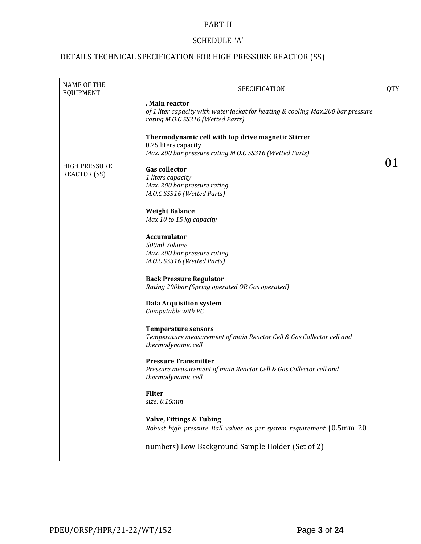# PART-II

# SCHEDULE-'A'

# DETAILS TECHNICAL SPECIFICATION FOR HIGH PRESSURE REACTOR (SS)

| <b>NAME OF THE</b><br><b>EQUIPMENT</b>      | SPECIFICATION                                                                                                                           | <b>QTY</b> |
|---------------------------------------------|-----------------------------------------------------------------------------------------------------------------------------------------|------------|
|                                             | . Main reactor<br>of 1 liter capacity with water jacket for heating & cooling Max.200 bar pressure<br>rating M.O.C SS316 (Wetted Parts) |            |
|                                             | Thermodynamic cell with top drive magnetic Stirrer<br>0.25 liters capacity<br>Max. 200 bar pressure rating M.O.C SS316 (Wetted Parts)   |            |
| <b>HIGH PRESSURE</b><br><b>REACTOR (SS)</b> | <b>Gas collector</b><br>1 liters capacity<br>Max. 200 bar pressure rating<br>M.O.C SS316 (Wetted Parts)                                 |            |
|                                             | <b>Weight Balance</b><br>Max 10 to 15 kg capacity                                                                                       |            |
|                                             | <b>Accumulator</b><br>500ml Volume<br>Max. 200 bar pressure rating<br>M.O.C SS316 (Wetted Parts)                                        |            |
|                                             | <b>Back Pressure Regulator</b><br>Rating 200bar (Spring operated OR Gas operated)                                                       |            |
|                                             | <b>Data Acquisition system</b><br>Computable with PC                                                                                    |            |
|                                             | <b>Temperature sensors</b><br>Temperature measurement of main Reactor Cell & Gas Collector cell and<br>thermodynamic cell.              |            |
|                                             | <b>Pressure Transmitter</b><br>Pressure measurement of main Reactor Cell & Gas Collector cell and<br>thermodynamic cell.                |            |
|                                             | <b>Filter</b><br>size: 0.16mm                                                                                                           |            |
|                                             | <b>Valve, Fittings &amp; Tubing</b><br>Robust high pressure Ball valves as per system requirement (0.5mm 20                             |            |
|                                             | numbers) Low Background Sample Holder (Set of 2)                                                                                        |            |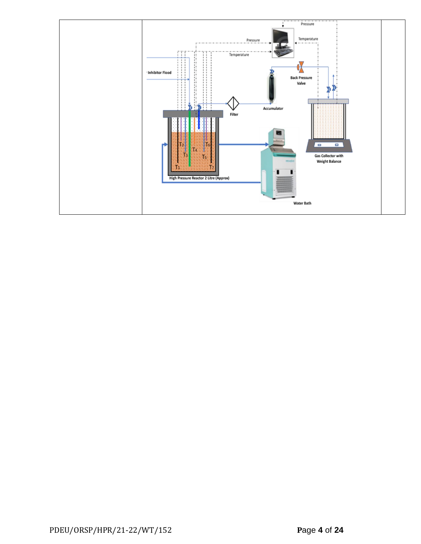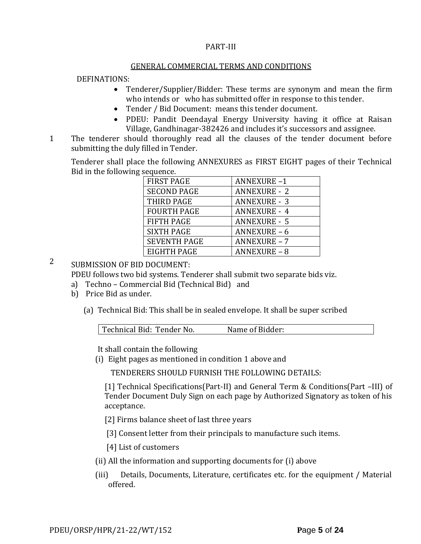### PART-III

#### GENERAL COMMERCIAL TERMS AND CONDITIONS

### DEFINATIONS:

- Tenderer/Supplier/Bidder: These terms are synonym and mean the firm who intends or who has submitted offer in response to this tender.
- Tender / Bid Document: means this tender document.
- PDEU: Pandit Deendayal Energy University having it office at Raisan Village, Gandhinagar-382426 and includes it's successors and assignee.
- 11. The tenderer should thoroughly read all the clauses of the tender document before submitting the duly filled in Tender.

Tenderer shall place the following ANNEXURES as FIRST EIGHT pages of their Technical Bid in the following sequence.

| <b>FIRST PAGE</b>   | <b>ANNEXURE-1</b>   |
|---------------------|---------------------|
| <b>SECOND PAGE</b>  | <b>ANNEXURE - 2</b> |
| THIRD PAGE          | <b>ANNEXURE - 3</b> |
| <b>FOURTH PAGE</b>  | <b>ANNEXURE - 4</b> |
| <b>FIFTH PAGE</b>   | <b>ANNEXURE - 5</b> |
| <b>SIXTH PAGE</b>   | <b>ANNEXURE - 6</b> |
| <b>SEVENTH PAGE</b> | <b>ANNEXURE - 7</b> |
| EIGHTH PAGE         | <b>ANNEXURE - 8</b> |

2 SUBMISSION OF BID DOCUMENT:

PDEU follows two bid systems. Tenderer shall submit two separate bids viz.

- a) Techno Commercial Bid (Technical Bid) and
- b) Price Bid as under.
	- (a) Technical Bid: This shall be in sealed envelope. It shall be super scribed

| Technical Bid: Tender No. | Name of Bidder: |  |
|---------------------------|-----------------|--|
|                           |                 |  |

It shall contain the following

(i) Eight pages as mentioned in condition 1 above and

TENDERERS SHOULD FURNISH THE FOLLOWING DETAILS:

[1] Technical Specifications(Part-II) and General Term & Conditions(Part –III) of Tender Document Duly Sign on each page by Authorized Signatory as token of his acceptance.

[2] Firms balance sheet of last three years

[3] Consent letter from their principals to manufacture such items.

[4] List of customers

- (ii) All the information and supporting documents for (i) above
- (iii) Details, Documents, Literature, certificates etc. for the equipment / Material offered.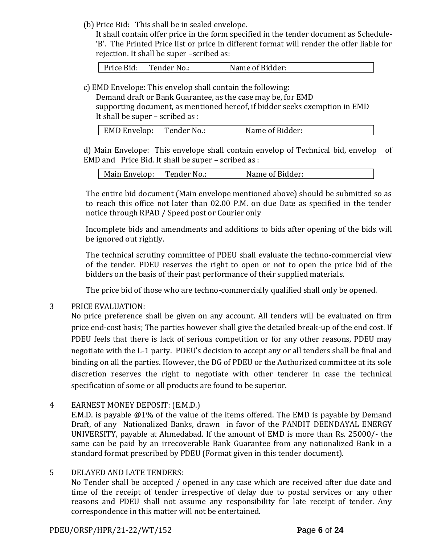(b) Price Bid: This shall be in sealed envelope.

It shall contain offer price in the form specified in the tender document as Schedule- 'B'. The Printed Price list or price in different format will render the offer liable for rejection. It shall be super –scribed as:

Price Bid: Tender No.: Name of Bidder:

c) EMD Envelope: This envelop shall contain the following:

Demand draft or Bank Guarantee, as the case may be, for EMD supporting document, as mentioned hereof, if bidder seeks exemption in EMD It shall be super – scribed as :

| EMD Envelop: | Tender No.: | Name of Bidder: |
|--------------|-------------|-----------------|
|              |             |                 |

d) Main Envelope: This envelope shall contain envelop of Technical bid, envelop of EMD and Price Bid. It shall be super – scribed as :

| Main Envelop: | Tender No.: | Name of Bidder: |
|---------------|-------------|-----------------|
|---------------|-------------|-----------------|

The entire bid document (Main envelope mentioned above) should be submitted so as to reach this office not later than 02.00 P.M. on due Date as specified in the tender notice through RPAD / Speed post or Courier only

Incomplete bids and amendments and additions to bids after opening of the bids will be ignored out rightly.

The technical scrutiny committee of PDEU shall evaluate the techno-commercial view of the tender. PDEU reserves the right to open or not to open the price bid of the bidders on the basis of their past performance of their supplied materials.

The price bid of those who are techno-commercially qualified shall only be opened.

# 3 PRICE EVALUATION:

No price preference shall be given on any account. All tenders will be evaluated on firm price end-cost basis; The parties however shall give the detailed break-up of the end cost. If PDEU feels that there is lack of serious competition or for any other reasons, PDEU may negotiate with the L-1 party. PDEU's decision to accept any or all tenders shall be final and binding on all the parties. However, the DG of PDEU or the Authorized committee at its sole discretion reserves the right to negotiate with other tenderer in case the technical specification of some or all products are found to be superior.

4 EARNEST MONEY DEPOSIT: (E.M.D.)

E.M.D. is payable @1% of the value of the items offered. The EMD is payable by Demand Draft, of any Nationalized Banks, drawn in favor of the PANDIT DEENDAYAL ENERGY UNIVERSITY, payable at Ahmedabad. If the amount of EMD is more than Rs. 25000/- the same can be paid by an irrecoverable Bank Guarantee from any nationalized Bank in a standard format prescribed by PDEU (Format given in this tender document).

### 5 DELAYED AND LATE TENDERS:

No Tender shall be accepted / opened in any case which are received after due date and time of the receipt of tender irrespective of delay due to postal services or any other reasons and PDEU shall not assume any responsibility for late receipt of tender. Any correspondence in this matter will not be entertained.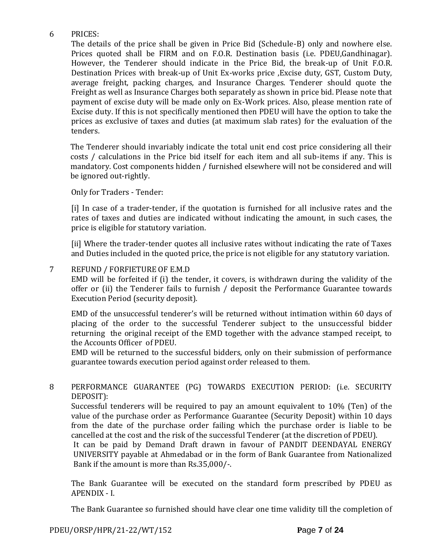# 6 PRICES:

The details of the price shall be given in Price Bid (Schedule-B) only and nowhere else. Prices quoted shall be FIRM and on F.O.R. Destination basis (i.e. PDEU,Gandhinagar). However, the Tenderer should indicate in the Price Bid, the break-up of Unit F.O.R. Destination Prices with break-up of Unit Ex-works price ,Excise duty, GST, Custom Duty, average freight, packing charges, and Insurance Charges. Tenderer should quote the Freight as well as Insurance Charges both separately as shown in price bid. Please note that payment of excise duty will be made only on Ex-Work prices. Also, please mention rate of Excise duty. If this is not specifically mentioned then PDEU will have the option to take the prices as exclusive of taxes and duties (at maximum slab rates) for the evaluation of the tenders.

The Tenderer should invariably indicate the total unit end cost price considering all their costs / calculations in the Price bid itself for each item and all sub-items if any. This is mandatory. Cost components hidden / furnished elsewhere will not be considered and will be ignored out-rightly.

Only for Traders - Tender:

[i] In case of a trader-tender, if the quotation is furnished for all inclusive rates and the rates of taxes and duties are indicated without indicating the amount, in such cases, the price is eligible for statutory variation.

[ii] Where the trader-tender quotes all inclusive rates without indicating the rate of Taxes and Duties included in the quoted price, the price is not eligible for any statutory variation.

### 7 REFUND / FORFIETURE OF E.M.D

EMD will be forfeited if (i) the tender, it covers, is withdrawn during the validity of the offer or (ii) the Tenderer fails to furnish / deposit the Performance Guarantee towards Execution Period (security deposit).

EMD of the unsuccessful tenderer's will be returned without intimation within 60 days of placing of the order to the successful Tenderer subject to the unsuccessful bidder returning the original receipt of the EMD together with the advance stamped receipt, to the Accounts Officer of PDEU.

EMD will be returned to the successful bidders, only on their submission of performance guarantee towards execution period against order released to them.

# 8 PERFORMANCE GUARANTEE (PG) TOWARDS EXECUTION PERIOD: (i.e. SECURITY DEPOSIT):

Successful tenderers will be required to pay an amount equivalent to 10% (Ten) of the value of the purchase order as Performance Guarantee (Security Deposit) within 10 days from the date of the purchase order failing which the purchase order is liable to be cancelled at the cost and the risk of the successful Tenderer (at the discretion of PDEU).

It can be paid by Demand Draft drawn in favour of PANDIT DEENDAYAL ENERGY UNIVERSITY payable at Ahmedabad or in the form of Bank Guarantee from Nationalized Bank if the amount is more than Rs.35,000/-.

The Bank Guarantee will be executed on the standard form prescribed by PDEU as APENDIX - I.

The Bank Guarantee so furnished should have clear one time validity till the completion of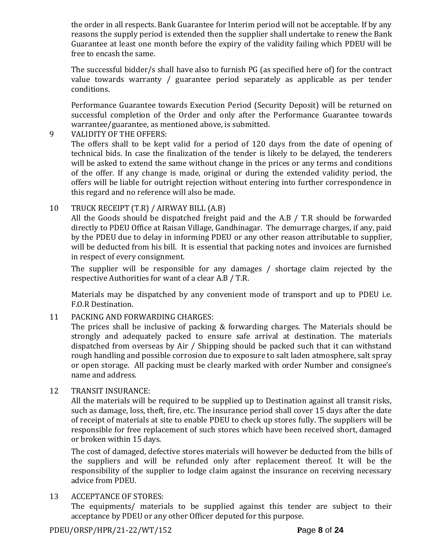the order in all respects. Bank Guarantee for Interim period will not be acceptable. If by any reasons the supply period is extended then the supplier shall undertake to renew the Bank Guarantee at least one month before the expiry of the validity failing which PDEU will be free to encash the same.

The successful bidder/s shall have also to furnish PG (as specified here of) for the contract value towards warranty / guarantee period separately as applicable as per tender conditions.

Performance Guarantee towards Execution Period (Security Deposit) will be returned on successful completion of the Order and only after the Performance Guarantee towards warrantee/guarantee, as mentioned above, is submitted.

# 9 VALIDITY OF THE OFFERS:

The offers shall to be kept valid for a period of 120 days from the date of opening of technical bids. In case the finalization of the tender is likely to be delayed, the tenderers will be asked to extend the same without change in the prices or any terms and conditions of the offer. If any change is made, original or during the extended validity period, the offers will be liable for outright rejection without entering into further correspondence in this regard and no reference will also be made.

# 10 TRUCK RECEIPT (T.R) / AIRWAY BILL (A.B)

All the Goods should be dispatched freight paid and the A.B / T.R should be forwarded directly to PDEU Office at Raisan Village, Gandhinagar. The demurrage charges, if any, paid by the PDEU due to delay in informing PDEU or any other reason attributable to supplier, will be deducted from his bill. It is essential that packing notes and invoices are furnished in respect of every consignment.

The supplier will be responsible for any damages / shortage claim rejected by the respective Authorities for want of a clear A.B / T.R.

Materials may be dispatched by any convenient mode of transport and up to PDEU i.e. F.O.R Destination.

# 11 PACKING AND FORWARDING CHARGES:

The prices shall be inclusive of packing & forwarding charges. The Materials should be strongly and adequately packed to ensure safe arrival at destination. The materials dispatched from overseas by Air / Shipping should be packed such that it can withstand rough handling and possible corrosion due to exposure to salt laden atmosphere, salt spray or open storage. All packing must be clearly marked with order Number and consignee's name and address.

### 12 TRANSIT INSURANCE:

All the materials will be required to be supplied up to Destination against all transit risks, such as damage, loss, theft, fire, etc. The insurance period shall cover 15 days after the date of receipt of materials at site to enable PDEU to check up stores fully. The suppliers will be responsible for free replacement of such stores which have been received short, damaged or broken within 15 days.

The cost of damaged, defective stores materials will however be deducted from the bills of the suppliers and will be refunded only after replacement thereof. It will be the responsibility of the supplier to lodge claim against the insurance on receiving necessary advice from PDEU.

# 13 ACCEPTANCE OF STORES:

The equipments/ materials to be supplied against this tender are subject to their acceptance by PDEU or any other Officer deputed for this purpose.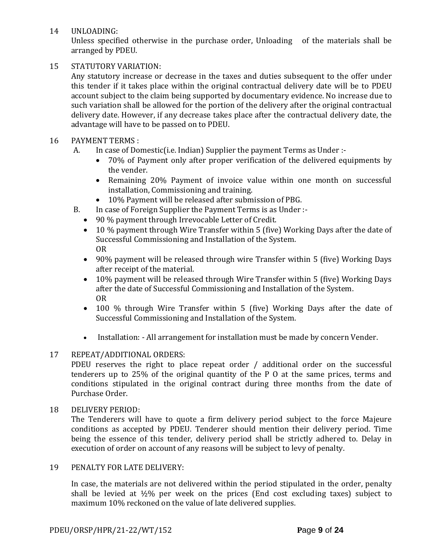14 UNLOADING:

Unless specified otherwise in the purchase order, Unloading of the materials shall be arranged by PDEU.

## 15 STATUTORY VARIATION:

Any statutory increase or decrease in the taxes and duties subsequent to the offer under this tender if it takes place within the original contractual delivery date will be to PDEU account subject to the claim being supported by documentary evidence. No increase due to such variation shall be allowed for the portion of the delivery after the original contractual delivery date. However, if any decrease takes place after the contractual delivery date, the advantage will have to be passed on to PDEU.

# 16 PAYMENT TERMS :

- A. In case of Domestic(i.e. Indian) Supplier the payment Terms as Under :-
	- 70% of Payment only after proper verification of the delivered equipments by the vender.
	- Remaining 20% Payment of invoice value within one month on successful installation, Commissioning and training.
	- 10% Payment will be released after submission of PBG.
- B. In case of Foreign Supplier the Payment Terms is as Under :-
	- 90 % payment through Irrevocable Letter of Credit.
	- 10 % payment through Wire Transfer within 5 (five) Working Days after the date of Successful Commissioning and Installation of the System. OR
	- 90% payment will be released through wire Transfer within 5 (five) Working Days after receipt of the material.
	- 10% payment will be released through Wire Transfer within 5 (five) Working Days after the date of Successful Commissioning and Installation of the System. OR
	- 100 % through Wire Transfer within 5 (five) Working Days after the date of Successful Commissioning and Installation of the System.
	- Installation: All arrangement for installation must be made by concern Vender.

### 17 REPEAT/ADDITIONAL ORDERS:

PDEU reserves the right to place repeat order / additional order on the successful tenderers up to 25% of the original quantity of the P O at the same prices, terms and conditions stipulated in the original contract during three months from the date of Purchase Order.

### 18 DELIVERY PERIOD:

The Tenderers will have to quote a firm delivery period subject to the force Majeure conditions as accepted by PDEU. Tenderer should mention their delivery period. Time being the essence of this tender, delivery period shall be strictly adhered to. Delay in execution of order on account of any reasons will be subject to levy of penalty.

### 19 PENALTY FOR LATE DELIVERY:

In case, the materials are not delivered within the period stipulated in the order, penalty shall be levied at  $\frac{1}{2}\%$  per week on the prices (End cost excluding taxes) subject to maximum 10% reckoned on the value of late delivered supplies.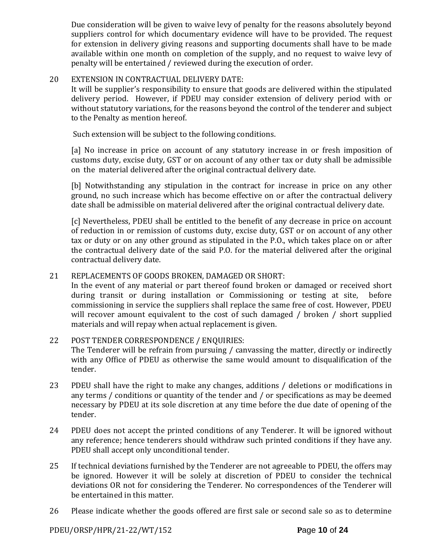Due consideration will be given to waive levy of penalty for the reasons absolutely beyond suppliers control for which documentary evidence will have to be provided. The request for extension in delivery giving reasons and supporting documents shall have to be made available within one month on completion of the supply, and no request to waive levy of penalty will be entertained / reviewed during the execution of order.

### 20 EXTENSION IN CONTRACTUAL DELIVERY DATE:

It will be supplier's responsibility to ensure that goods are delivered within the stipulated delivery period. However, if PDEU may consider extension of delivery period with or without statutory variations, for the reasons beyond the control of the tenderer and subject to the Penalty as mention hereof.

Such extension will be subject to the following conditions.

[a] No increase in price on account of any statutory increase in or fresh imposition of customs duty, excise duty, GST or on account of any other tax or duty shall be admissible on the material delivered after the original contractual delivery date.

[b] Notwithstanding any stipulation in the contract for increase in price on any other ground, no such increase which has become effective on or after the contractual delivery date shall be admissible on material delivered after the original contractual delivery date.

[c] Nevertheless, PDEU shall be entitled to the benefit of any decrease in price on account of reduction in or remission of customs duty, excise duty, GST or on account of any other tax or duty or on any other ground as stipulated in the P.O., which takes place on or after the contractual delivery date of the said P.O. for the material delivered after the original contractual delivery date.

# 21 REPLACEMENTS OF GOODS BROKEN, DAMAGED OR SHORT:

In the event of any material or part thereof found broken or damaged or received short during transit or during installation or Commissioning or testing at site, before commissioning in service the suppliers shall replace the same free of cost. However, PDEU will recover amount equivalent to the cost of such damaged / broken / short supplied materials and will repay when actual replacement is given.

# 22 POST TENDER CORRESPONDENCE / ENQUIRIES:

The Tenderer will be refrain from pursuing / canvassing the matter, directly or indirectly with any Office of PDEU as otherwise the same would amount to disqualification of the tender.

- 23 PDEU shall have the right to make any changes, additions / deletions or modifications in any terms / conditions or quantity of the tender and / or specifications as may be deemed necessary by PDEU at its sole discretion at any time before the due date of opening of the tender.
- 24 PDEU does not accept the printed conditions of any Tenderer. It will be ignored without any reference; hence tenderers should withdraw such printed conditions if they have any. PDEU shall accept only unconditional tender.
- 25 If technical deviations furnished by the Tenderer are not agreeable to PDEU, the offers may be ignored. However it will be solely at discretion of PDEU to consider the technical deviations OR not for considering the Tenderer. No correspondences of the Tenderer will be entertained in this matter.
- 26 Please indicate whether the goods offered are first sale or second sale so as to determine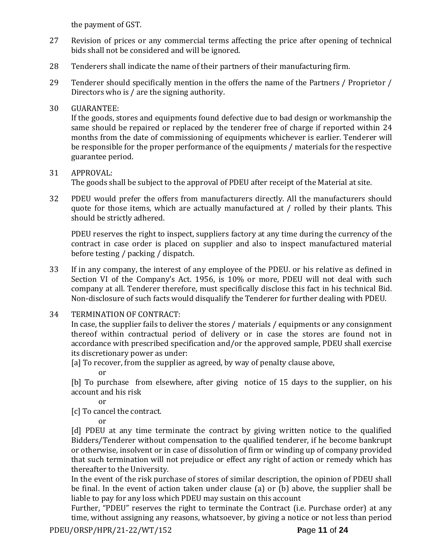the payment of GST.

- 27 Revision of prices or any commercial terms affecting the price after opening of technical bids shall not be considered and will be ignored.
- 28 Tenderers shall indicate the name of their partners of their manufacturing firm.
- 29 Tenderer should specifically mention in the offers the name of the Partners / Proprietor / Directors who is / are the signing authority.

# 30 GUARANTEE:

If the goods, stores and equipments found defective due to bad design or workmanship the same should be repaired or replaced by the tenderer free of charge if reported within 24 months from the date of commissioning of equipments whichever is earlier. Tenderer will be responsible for the proper performance of the equipments / materials for the respective guarantee period.

# 31 APPROVAL:

The goods shall be subject to the approval of PDEU after receipt of the Material at site.

32 PDEU would prefer the offers from manufacturers directly. All the manufacturers should quote for those items, which are actually manufactured at / rolled by their plants. This should be strictly adhered.

PDEU reserves the right to inspect, suppliers factory at any time during the currency of the contract in case order is placed on supplier and also to inspect manufactured material before testing / packing / dispatch.

- 33 If in any company, the interest of any employee of the PDEU. or his relative as defined in Section VI of the Company's Act. 1956, is 10% or more, PDEU will not deal with such company at all. Tenderer therefore, must specifically disclose this fact in his technical Bid. Non-disclosure of such facts would disqualify the Tenderer for further dealing with PDEU.
- 34 TERMINATION OF CONTRACT:

In case, the supplier fails to deliver the stores / materials / equipments or any consignment thereof within contractual period of delivery or in case the stores are found not in accordance with prescribed specification and/or the approved sample, PDEU shall exercise its discretionary power as under:

[a] To recover, from the supplier as agreed, by way of penalty clause above,

or

[b] To purchase from elsewhere, after giving notice of 15 days to the supplier, on his account and his risk

or

[c] To cancel the contract.

or

[d] PDEU at any time terminate the contract by giving written notice to the qualified Bidders/Tenderer without compensation to the qualified tenderer, if he become bankrupt or otherwise, insolvent or in case of dissolution of firm or winding up of company provided that such termination will not prejudice or effect any right of action or remedy which has thereafter to the University.

In the event of the risk purchase of stores of similar description, the opinion of PDEU shall be final. In the event of action taken under clause (a) or (b) above, the supplier shall be liable to pay for any loss which PDEU may sustain on this account

Further, "PDEU" reserves the right to terminate the Contract (i.e. Purchase order) at any time, without assigning any reasons, whatsoever, by giving a notice or not less than period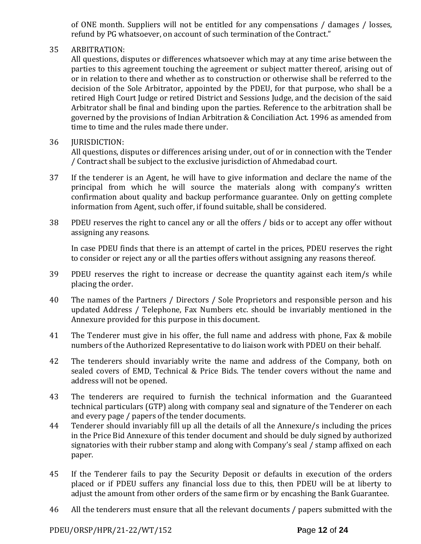of ONE month. Suppliers will not be entitled for any compensations / damages / losses, refund by PG whatsoever, on account of such termination of the Contract."

## 35 ARBITRATION:

All questions, disputes or differences whatsoever which may at any time arise between the parties to this agreement touching the agreement or subject matter thereof, arising out of or in relation to there and whether as to construction or otherwise shall be referred to the decision of the Sole Arbitrator, appointed by the PDEU, for that purpose, who shall be a retired High Court Judge or retired District and Sessions Judge, and the decision of the said Arbitrator shall be final and binding upon the parties. Reference to the arbitration shall be governed by the provisions of Indian Arbitration & Conciliation Act. 1996 as amended from time to time and the rules made there under.

### 36 **IURISDICTION:**

All questions, disputes or differences arising under, out of or in connection with the Tender / Contract shall be subject to the exclusive jurisdiction of Ahmedabad court.

- 37 If the tenderer is an Agent, he will have to give information and declare the name of the principal from which he will source the materials along with company's written confirmation about quality and backup performance guarantee. Only on getting complete information from Agent, such offer, if found suitable, shall be considered.
- 38 PDEU reserves the right to cancel any or all the offers / bids or to accept any offer without assigning any reasons.

In case PDEU finds that there is an attempt of cartel in the prices, PDEU reserves the right to consider or reject any or all the parties offers without assigning any reasons thereof.

- 39 PDEU reserves the right to increase or decrease the quantity against each item/s while placing the order.
- 40 The names of the Partners / Directors / Sole Proprietors and responsible person and his updated Address / Telephone, Fax Numbers etc. should be invariably mentioned in the Annexure provided for this purpose in this document.
- 41 The Tenderer must give in his offer, the full name and address with phone, Fax & mobile numbers of the Authorized Representative to do liaison work with PDEU on their behalf.
- 42 The tenderers should invariably write the name and address of the Company, both on sealed covers of EMD, Technical & Price Bids. The tender covers without the name and address will not be opened.
- 43 The tenderers are required to furnish the technical information and the Guaranteed technical particulars (GTP) along with company seal and signature of the Tenderer on each and every page / papers of the tender documents.
- 44 Tenderer should invariably fill up all the details of all the Annexure/s including the prices in the Price Bid Annexure of this tender document and should be duly signed by authorized signatories with their rubber stamp and along with Company's seal / stamp affixed on each paper.
- 45 If the Tenderer fails to pay the Security Deposit or defaults in execution of the orders placed or if PDEU suffers any financial loss due to this, then PDEU will be at liberty to adjust the amount from other orders of the same firm or by encashing the Bank Guarantee.
- 46 All the tenderers must ensure that all the relevant documents / papers submitted with the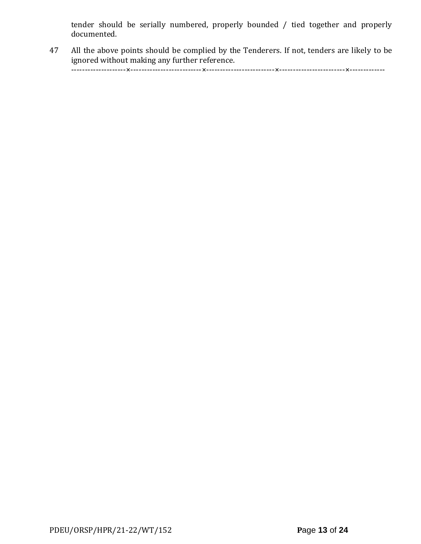tender should be serially numbered, properly bounded / tied together and properly documented.

47 All the above points should be complied by the Tenderers. If not, tenders are likely to be ignored without making any further reference.

--------------------×--------------------------×-------------------------×------------------------×-------------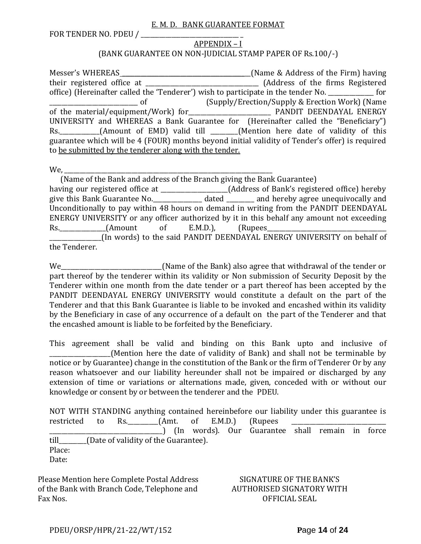#### E. M. D. BANK GUARANTEE FORMAT

FOR TENDER NO. PDEU / \_\_\_\_\_\_\_\_\_\_\_\_\_\_\_\_\_\_\_\_\_\_\_\_\_\_\_\_\_\_\_\_ \_

#### APPENDIX – I (BANK GUARANTEE ON NON-JUDICIAL STAMP PAPER OF Rs.100/-)

Messer's WHEREAS \_\_\_\_\_\_\_\_\_\_\_\_\_\_\_\_\_\_\_\_\_\_\_\_\_\_\_\_\_\_\_\_\_\_\_\_\_\_\_\_\_\_(Name & Address of the Firm) having their registered office at \_\_\_\_\_\_\_\_\_\_\_\_\_\_\_\_\_\_\_\_\_\_\_\_\_\_\_\_\_\_\_\_\_\_\_\_\_ (Address of the firms Registered office) (Hereinafter called the 'Tenderer') wish to participate in the tender No. \_\_\_\_\_\_\_\_\_\_\_\_\_\_\_ for \_\_\_\_\_\_\_\_\_\_\_\_\_\_\_\_\_\_\_\_\_\_\_\_\_\_\_\_\_ of (Supply/Erection/Supply & Erection Work) (Name of the material/equipment/Work) for\_\_\_\_\_\_\_\_\_\_\_\_\_\_\_\_\_\_\_\_\_\_\_\_\_\_\_ PANDIT DEENDAYAL ENERGY UNIVERSITY and WHEREAS a Bank Guarantee for (Hereinafter called the "Beneficiary") Rs. \_\_\_\_\_\_\_\_\_\_(Amount of EMD) valid till \_\_\_\_\_\_(Mention here date of validity of this guarantee which will be 4 (FOUR) months beyond initial validity of Tender's offer) is required to be submitted by the tenderer along with the tender.

We,

 (Name of the Bank and address of the Branch giving the Bank Guarantee) having our registered office at \_\_\_\_\_\_\_\_\_\_\_\_\_\_\_\_\_\_\_\_\_\_(Address of Bank's registered office) hereby give this Bank Guarantee No.\_\_\_\_\_\_\_\_\_\_\_\_\_\_\_\_ dated \_\_\_\_\_\_\_\_\_ and hereby agree unequivocally and Unconditionally to pay within 48 hours on demand in writing from the PANDIT DEENDAYAL ENERGY UNIVERSITY or any officer authorized by it in this behalf any amount not exceeding Rs. (Amount of E.M.D.), (Rupees \_\_\_\_\_\_\_\_\_\_\_\_\_\_\_\_\_(In words) to the said PANDIT DEENDAYAL ENERGY UNIVERSITY on behalf of the Tenderer.

We\_\_\_\_\_\_\_\_\_\_\_\_\_\_\_\_\_\_\_\_\_\_\_\_\_\_\_\_\_\_\_\_\_(Name of the Bank) also agree that withdrawal of the tender or part thereof by the tenderer within its validity or Non submission of Security Deposit by the Tenderer within one month from the date tender or a part thereof has been accepted by the PANDIT DEENDAYAL ENERGY UNIVERSITY would constitute a default on the part of the Tenderer and that this Bank Guarantee is liable to be invoked and encashed within its validity by the Beneficiary in case of any occurrence of a default on the part of the Tenderer and that the encashed amount is liable to be forfeited by the Beneficiary.

This agreement shall be valid and binding on this Bank upto and inclusive of (Mention here the date of validity of Bank) and shall not be terminable by notice or by Guarantee) change in the constitution of the Bank or the firm of Tenderer Or by any reason whatsoever and our liability hereunder shall not be impaired or discharged by any extension of time or variations or alternations made, given, conceded with or without our knowledge or consent by or between the tenderer and the PDEU.

NOT WITH STANDING anything contained hereinbefore our liability under this guarantee is restricted to Rs.  $(Amt. of E.M.D.)$  (Rupees \_\_\_\_\_\_\_\_\_\_\_\_\_\_\_\_\_\_\_\_\_\_\_\_\_\_\_\_\_\_\_\_\_\_\_\_\_) (In words). Our Guarantee shall remain in force till\_\_\_\_\_\_\_\_\_(Date of validity of the Guarantee). Place: Date:

Please Mention here Complete Postal Address of the Bank with Branch Code, Telephone and Fax Nos.

SIGNATURE OF THE BANK'S AUTHORISED SIGNATORY WITH OFFICIAL SEAL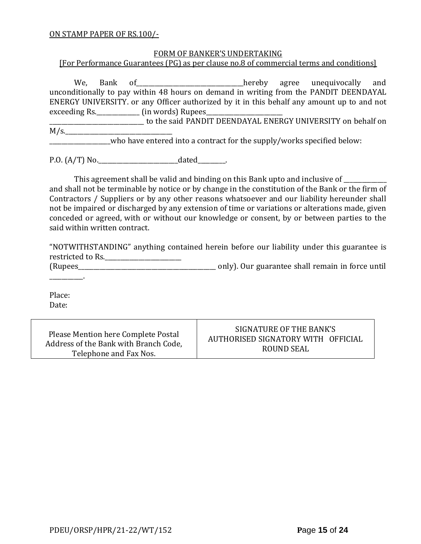#### ON STAMP PAPER OF RS.100/-

#### FORM OF BANKER'S UNDERTAKING

[For Performance Guarantees (PG) as per clause no.8 of commercial terms and conditions]

We, Bank of\_\_\_\_\_\_\_\_\_\_\_\_\_\_\_\_\_\_\_\_\_\_\_\_hereby agree unequivocally and unconditionally to pay within 48 hours on demand in writing from the PANDIT DEENDAYAL ENERGY UNIVERSITY. or any Officer authorized by it in this behalf any amount up to and not exceeding Rs.\_\_\_\_\_\_\_\_\_\_\_\_\_\_\_\_\_\_\_\_\_ (in words) Rupees\_

\_\_\_\_\_\_\_\_\_\_\_\_\_\_\_\_\_\_\_\_\_\_\_\_\_\_\_\_\_\_\_ to the said PANDIT DEENDAYAL ENERGY UNIVERSITY on behalf on  $M/s$ .

who have entered into a contract for the supply/works specified below:

P.O. (A/T) No.\_\_\_\_\_\_\_\_\_\_\_\_\_\_\_\_\_\_\_\_\_\_\_\_\_\_dated\_\_\_\_\_\_\_\_\_.

This agreement shall be valid and binding on this Bank upto and inclusive of \_\_\_\_\_\_\_\_\_\_

and shall not be terminable by notice or by change in the constitution of the Bank or the firm of Contractors / Suppliers or by any other reasons whatsoever and our liability hereunder shall not be impaired or discharged by any extension of time or variations or alterations made, given conceded or agreed, with or without our knowledge or consent, by or between parties to the said within written contract.

"NOTWITHSTANDING" anything contained herein before our liability under this guarantee is restricted to Rs.\_\_\_\_\_\_\_\_\_\_\_\_\_\_\_\_\_\_\_\_\_\_\_\_\_

(Rupees\_\_\_\_\_\_\_\_\_\_\_\_\_\_\_\_\_\_\_\_\_\_\_\_\_\_\_\_\_\_\_\_\_\_\_\_\_\_\_\_\_\_\_\_\_ only). Our guarantee shall remain in force until

Place: Date:

\_\_\_\_\_\_\_\_\_\_\_.

Please Mention here Complete Postal Address of the Bank with Branch Code, Telephone and Fax Nos.

SIGNATURE OF THE BANK'S AUTHORISED SIGNATORY WITH OFFICIAL ROUND SEAL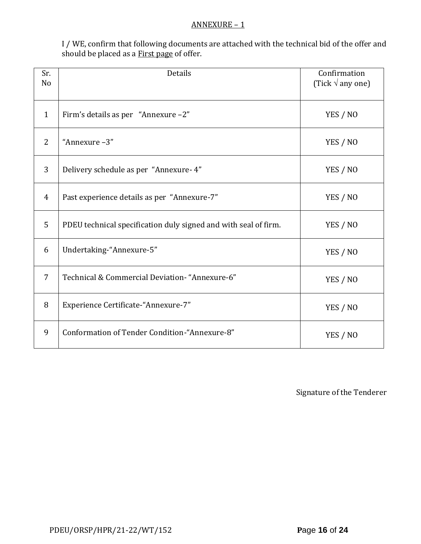#### ANNEXURE – 1

I / WE, confirm that following documents are attached with the technical bid of the offer and should be placed as a **First page** of offer.

| Sr.<br>N <sub>o</sub> | Details                                                         | Confirmation<br>(Tick $\sqrt{ }$ any one) |
|-----------------------|-----------------------------------------------------------------|-------------------------------------------|
| $\mathbf{1}$          | Firm's details as per "Annexure -2"                             | YES / NO                                  |
| 2                     | "Annexure-3"                                                    | YES / NO                                  |
| 3                     | Delivery schedule as per "Annexure- 4"                          | YES / NO                                  |
| $\overline{4}$        | Past experience details as per "Annexure-7"                     | YES / NO                                  |
| 5                     | PDEU technical specification duly signed and with seal of firm. | YES / NO                                  |
| 6                     | Undertaking-"Annexure-5"                                        | YES / NO                                  |
| 7                     | Technical & Commercial Deviation- "Annexure-6"                  | YES / NO                                  |
| 8                     | Experience Certificate-"Annexure-7"                             | YES / NO                                  |
| 9                     | Conformation of Tender Condition-"Annexure-8"                   | YES / NO                                  |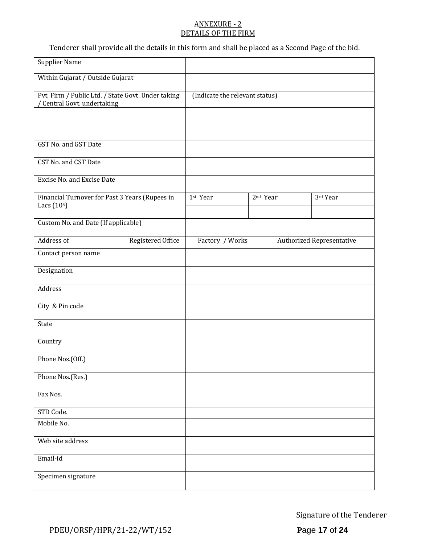#### ANNEXURE - 2 DETAILS OF THE FIRM

Tenderer shall provide all the details in this form and shall be placed as a **Second Page** of the bid.

| <b>Supplier Name</b>                                                            |                   |                                |  |                      |                                  |
|---------------------------------------------------------------------------------|-------------------|--------------------------------|--|----------------------|----------------------------------|
| Within Gujarat / Outside Gujarat                                                |                   |                                |  |                      |                                  |
| Pvt. Firm / Public Ltd. / State Govt. Under taking<br>Central Govt. undertaking |                   | (Indicate the relevant status) |  |                      |                                  |
|                                                                                 |                   |                                |  |                      |                                  |
|                                                                                 |                   |                                |  |                      |                                  |
| GST No. and GST Date                                                            |                   |                                |  |                      |                                  |
| CST No. and CST Date                                                            |                   |                                |  |                      |                                  |
| Excise No. and Excise Date                                                      |                   |                                |  |                      |                                  |
| Financial Turnover for Past 3 Years (Rupees in                                  |                   | 1st Year                       |  | 2 <sup>nd</sup> Year | 3rd Year                         |
| Lacs $(105)$                                                                    |                   |                                |  |                      |                                  |
| Custom No. and Date (If applicable)                                             |                   |                                |  |                      |                                  |
| Address of                                                                      | Registered Office | Factory / Works                |  |                      | <b>Authorized Representative</b> |
| Contact person name                                                             |                   |                                |  |                      |                                  |
| Designation                                                                     |                   |                                |  |                      |                                  |
| Address                                                                         |                   |                                |  |                      |                                  |
| City & Pin code                                                                 |                   |                                |  |                      |                                  |
| State                                                                           |                   |                                |  |                      |                                  |
| Country                                                                         |                   |                                |  |                      |                                  |
| Phone Nos.(Off.)                                                                |                   |                                |  |                      |                                  |
| Phone Nos.(Res.)                                                                |                   |                                |  |                      |                                  |
| Fax Nos.                                                                        |                   |                                |  |                      |                                  |
| STD Code.                                                                       |                   |                                |  |                      |                                  |
| Mobile No.                                                                      |                   |                                |  |                      |                                  |
| Web site address                                                                |                   |                                |  |                      |                                  |
| Email-id                                                                        |                   |                                |  |                      |                                  |
| Specimen signature                                                              |                   |                                |  |                      |                                  |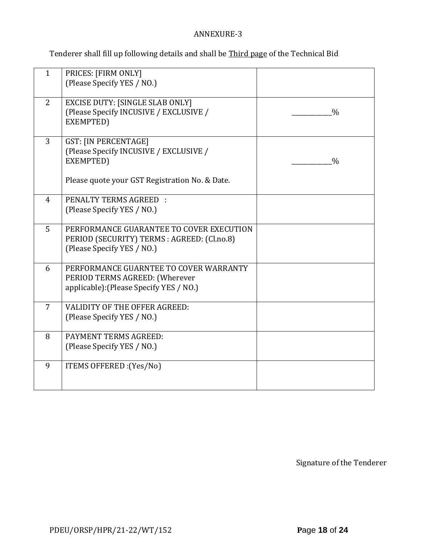# ANNEXURE-3

Tenderer shall fill up following details and shall be Third page of the Technical Bid

| $\mathbf{1}$   | PRICES: [FIRM ONLY]<br>(Please Specify YES / NO.)                                                                                    |               |
|----------------|--------------------------------------------------------------------------------------------------------------------------------------|---------------|
| 2              | <b>EXCISE DUTY: [SINGLE SLAB ONLY]</b><br>(Please Specify INCUSIVE / EXCLUSIVE /<br>EXEMPTED)                                        | $\frac{0}{0}$ |
| $\overline{3}$ | <b>GST: [IN PERCENTAGE]</b><br>(Please Specify INCUSIVE / EXCLUSIVE /<br>EXEMPTED)<br>Please quote your GST Registration No. & Date. | $\frac{0}{0}$ |
| $\overline{4}$ | PENALTY TERMS AGREED :<br>(Please Specify YES / NO.)                                                                                 |               |
| 5              | PERFORMANCE GUARANTEE TO COVER EXECUTION<br>PERIOD (SECURITY) TERMS : AGREED: (Cl.no.8)<br>(Please Specify YES / NO.)                |               |
| 6              | PERFORMANCE GUARNTEE TO COVER WARRANTY<br>PERIOD TERMS AGREED: (Wherever<br>applicable): (Please Specify YES / NO.)                  |               |
| $\overline{7}$ | <b>VALIDITY OF THE OFFER AGREED:</b><br>(Please Specify YES / NO.)                                                                   |               |
| 8              | PAYMENT TERMS AGREED:<br>(Please Specify YES / NO.)                                                                                  |               |
| 9              | ITEMS OFFERED : (Yes/No)                                                                                                             |               |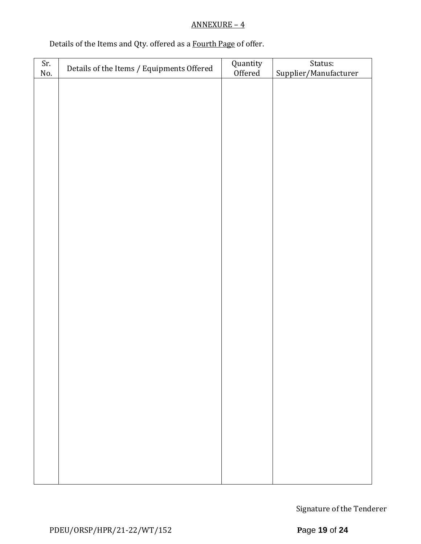# ANNEXURE – 4

# Details of the Items and Qty. offered as a Fourth Page of offer.

| Sr. | Details of the Items / Equipments Offered | Quantity<br>Offered | Status:               |
|-----|-------------------------------------------|---------------------|-----------------------|
| No. |                                           |                     | Supplier/Manufacturer |
|     |                                           |                     |                       |
|     |                                           |                     |                       |
|     |                                           |                     |                       |
|     |                                           |                     |                       |
|     |                                           |                     |                       |
|     |                                           |                     |                       |
|     |                                           |                     |                       |
|     |                                           |                     |                       |
|     |                                           |                     |                       |
|     |                                           |                     |                       |
|     |                                           |                     |                       |
|     |                                           |                     |                       |
|     |                                           |                     |                       |
|     |                                           |                     |                       |
|     |                                           |                     |                       |
|     |                                           |                     |                       |
|     |                                           |                     |                       |
|     |                                           |                     |                       |
|     |                                           |                     |                       |
|     |                                           |                     |                       |
|     |                                           |                     |                       |
|     |                                           |                     |                       |
|     |                                           |                     |                       |
|     |                                           |                     |                       |
|     |                                           |                     |                       |
|     |                                           |                     |                       |
|     |                                           |                     |                       |
|     |                                           |                     |                       |
|     |                                           |                     |                       |
|     |                                           |                     |                       |
|     |                                           |                     |                       |
|     |                                           |                     |                       |
|     |                                           |                     |                       |
|     |                                           |                     |                       |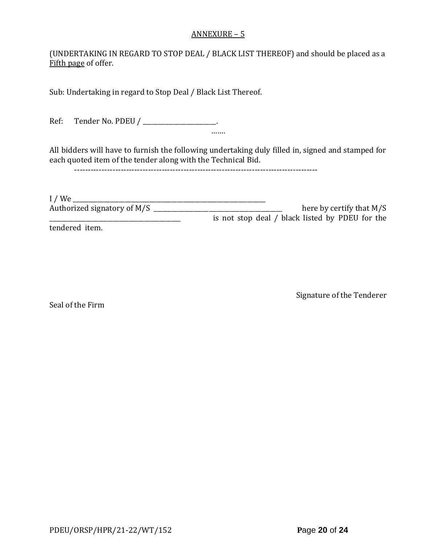#### ANNEXURE – 5

(UNDERTAKING IN REGARD TO STOP DEAL / BLACK LIST THEREOF) and should be placed as a Fifth page of offer.

Sub: Undertaking in regard to Stop Deal / Black List Thereof.

Ref: Tender No. PDEU / \_\_\_\_\_\_\_\_\_\_\_\_\_\_\_\_\_\_\_\_.

All bidders will have to furnish the following undertaking duly filled in, signed and stamped for each quoted item of the tender along with the Technical Bid.

…….

-----------------------------------------------------------------------------------------

| $I$ / We                    |                                                 |
|-----------------------------|-------------------------------------------------|
| Authorized signatory of M/S | here by certify that $M/S$                      |
|                             | is not stop deal / black listed by PDEU for the |
| tendered item.              |                                                 |

Signature of the Tenderer

Seal of the Firm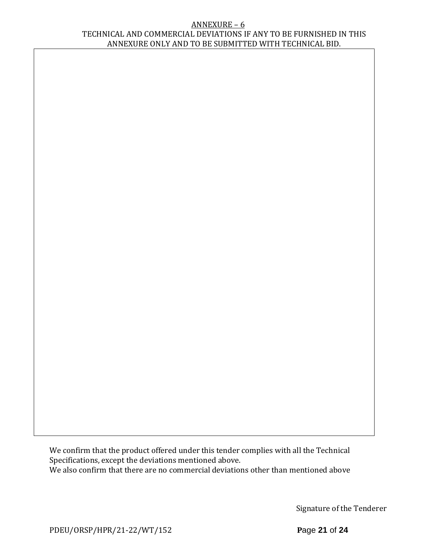#### ANNEXURE – 6 TECHNICAL AND COMMERCIAL DEVIATIONS IF ANY TO BE FURNISHED IN THIS ANNEXURE ONLY AND TO BE SUBMITTED WITH TECHNICAL BID.

We confirm that the product offered under this tender complies with all the Technical Specifications, except the deviations mentioned above. We also confirm that there are no commercial deviations other than mentioned above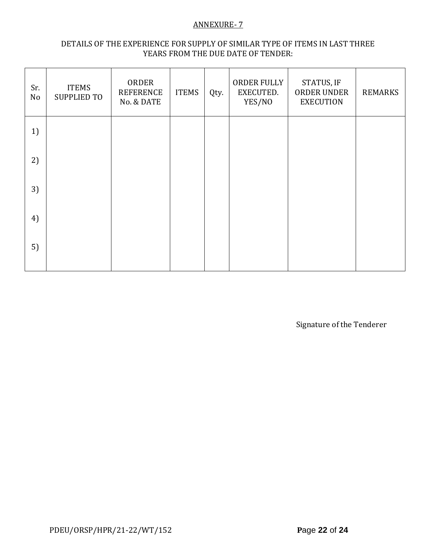#### ANNEXURE- 7

### DETAILS OF THE EXPERIENCE FOR SUPPLY OF SIMILAR TYPE OF ITEMS IN LAST THREE YEARS FROM THE DUE DATE OF TENDER:

| Sr.<br>No | <b>ITEMS</b><br><b>SUPPLIED TO</b> | ORDER<br><b>REFERENCE</b><br>No. & DATE | <b>ITEMS</b> | Qty. | ORDER FULLY<br>EXECUTED.<br>YES/NO | STATUS, IF<br>ORDER UNDER<br><b>EXECUTION</b> | <b>REMARKS</b> |
|-----------|------------------------------------|-----------------------------------------|--------------|------|------------------------------------|-----------------------------------------------|----------------|
| 1)        |                                    |                                         |              |      |                                    |                                               |                |
| 2)        |                                    |                                         |              |      |                                    |                                               |                |
| 3)        |                                    |                                         |              |      |                                    |                                               |                |
| 4)        |                                    |                                         |              |      |                                    |                                               |                |
| 5)        |                                    |                                         |              |      |                                    |                                               |                |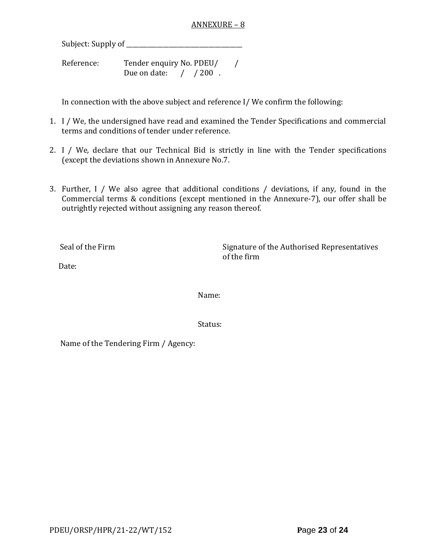#### ANNEXURE – 8

Subject: Supply of \_\_\_\_\_\_\_\_\_\_\_\_\_\_\_\_\_\_\_\_\_\_\_\_\_\_\_\_\_\_\_\_\_\_\_\_\_\_

Reference: Tender enquiry No. PDEU/ / Due on date: / / 200.

In connection with the above subject and reference I/ We confirm the following:

- 1. I / We, the undersigned have read and examined the Tender Specifications and commercial terms and conditions of tender under reference.
- 2. I / We, declare that our Technical Bid is strictly in line with the Tender specifications (except the deviations shown in Annexure No.7.
- 3. Further, I / We also agree that additional conditions / deviations, if any, found in the Commercial terms & conditions (except mentioned in the Annexure-7), our offer shall be outrightly rejected without assigning any reason thereof.

Seal of the Firm Signature of the Authorised Representatives of the firm

Date:

Name:

Status:

Name of the Tendering Firm / Agency: